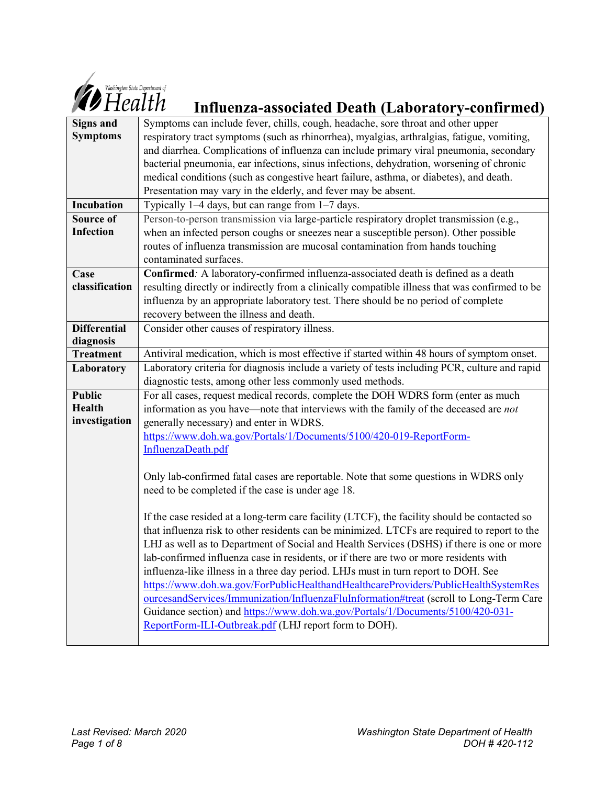

# *Influence State Department of*<br> **Influenza-associated Death (Laboratory-confirmed)**

| Symptoms can include fever, chills, cough, headache, sore throat and other upper               |
|------------------------------------------------------------------------------------------------|
| respiratory tract symptoms (such as rhinorrhea), myalgias, arthralgias, fatigue, vomiting,     |
| and diarrhea. Complications of influenza can include primary viral pneumonia, secondary        |
| bacterial pneumonia, ear infections, sinus infections, dehydration, worsening of chronic       |
| medical conditions (such as congestive heart failure, asthma, or diabetes), and death.         |
| Presentation may vary in the elderly, and fever may be absent.                                 |
| Typically $1-4$ days, but can range from $1-7$ days.                                           |
| Person-to-person transmission via large-particle respiratory droplet transmission (e.g.,       |
| when an infected person coughs or sneezes near a susceptible person). Other possible           |
| routes of influenza transmission are mucosal contamination from hands touching                 |
| contaminated surfaces.                                                                         |
| Confirmed: A laboratory-confirmed influenza-associated death is defined as a death             |
| resulting directly or indirectly from a clinically compatible illness that was confirmed to be |
| influenza by an appropriate laboratory test. There should be no period of complete             |
| recovery between the illness and death.                                                        |
| Consider other causes of respiratory illness.                                                  |
|                                                                                                |
| Antiviral medication, which is most effective if started within 48 hours of symptom onset.     |
| Laboratory criteria for diagnosis include a variety of tests including PCR, culture and rapid  |
| diagnostic tests, among other less commonly used methods.                                      |
| For all cases, request medical records, complete the DOH WDRS form (enter as much              |
| information as you have—note that interviews with the family of the deceased are not           |
| generally necessary) and enter in WDRS.                                                        |
| https://www.doh.wa.gov/Portals/1/Documents/5100/420-019-ReportForm-                            |
| InfluenzaDeath.pdf                                                                             |
|                                                                                                |
| Only lab-confirmed fatal cases are reportable. Note that some questions in WDRS only           |
| need to be completed if the case is under age 18.                                              |
| If the case resided at a long-term care facility (LTCF), the facility should be contacted so   |
| that influenza risk to other residents can be minimized. LTCFs are required to report to the   |
| LHJ as well as to Department of Social and Health Services (DSHS) if there is one or more      |
| lab-confirmed influenza case in residents, or if there are two or more residents with          |
| influenza-like illness in a three day period. LHJs must in turn report to DOH. See             |
| https://www.doh.wa.gov/ForPublicHealthandHealthcareProviders/PublicHealthSystemRes             |
| ourcesandServices/Immunization/InfluenzaFluInformation#treat (scroll to Long-Term Care         |
| Guidance section) and https://www.doh.wa.gov/Portals/1/Documents/5100/420-031-                 |
| ReportForm-ILI-Outbreak.pdf (LHJ report form to DOH).                                          |
|                                                                                                |
|                                                                                                |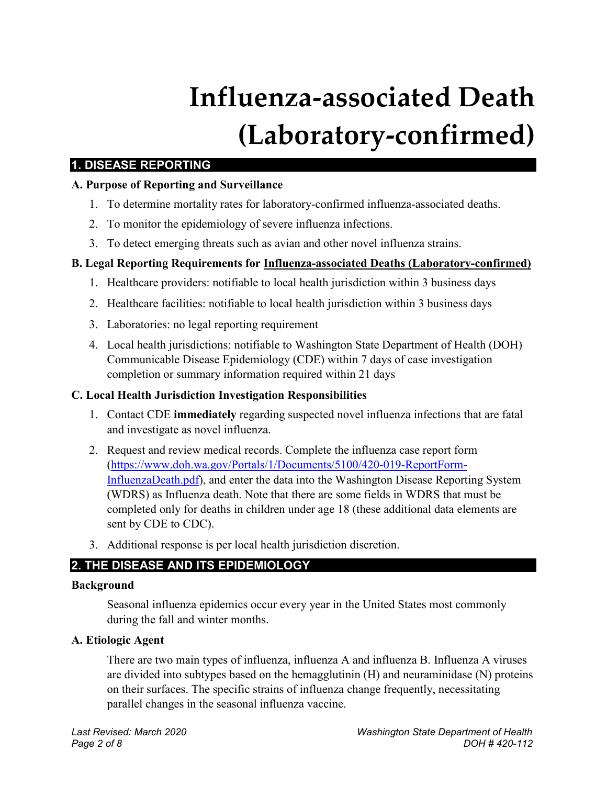# **Influenza-associated Death (Laboratory-confirmed)**

# **1. DISEASE REPORTING**

# **A. Purpose of Reporting and Surveillance**

- 1. To determine mortality rates for laboratory-confirmed influenza-associated deaths.
- 2. To monitor the epidemiology of severe influenza infections.
- 3. To detect emerging threats such as avian and other novel influenza strains.

# **B. Legal Reporting Requirements for Influenza-associated Deaths (Laboratory-confirmed)**

- 1. Healthcare providers: notifiable to local health jurisdiction within 3 business days
- 2. Healthcare facilities: notifiable to local health jurisdiction within 3 business days
- 3. Laboratories: no legal reporting requirement
- 4. Local health jurisdictions: notifiable to Washington State Department of Health (DOH) Communicable Disease Epidemiology (CDE) within 7 days of case investigation completion or summary information required within 21 days

# **C. Local Health Jurisdiction Investigation Responsibilities**

- 1. Contact CDE **immediately** regarding suspected novel influenza infections that are fatal and investigate as novel influenza.
- 2. Request and review medical records. Complete the influenza case report form [\(https://www.doh.wa.gov/Portals/1/Documents/5100/420-019-ReportForm-](https://www.doh.wa.gov/Portals/1/Documents/5100/420-019-ReportForm-InfluenzaDeath.pdf)[InfluenzaDeath.pdf\)](https://www.doh.wa.gov/Portals/1/Documents/5100/420-019-ReportForm-InfluenzaDeath.pdf), and enter the data into the Washington Disease Reporting System (WDRS) as Influenza death. Note that there are some fields in WDRS that must be completed only for deaths in children under age 18 (these additional data elements are sent by CDE to CDC).
- 3. Additional response is per local health jurisdiction discretion.

# **2. THE DISEASE AND ITS EPIDEMIOLOGY**

# **Background**

Seasonal influenza epidemics occur every year in the United States most commonly during the fall and winter months.

# **A. Etiologic Agent**

There are two main types of influenza, influenza A and influenza B. Influenza A viruses are divided into subtypes based on the hemagglutinin (H) and neuraminidase (N) proteins on their surfaces. The specific strains of influenza change frequently, necessitating parallel changes in the seasonal influenza vaccine.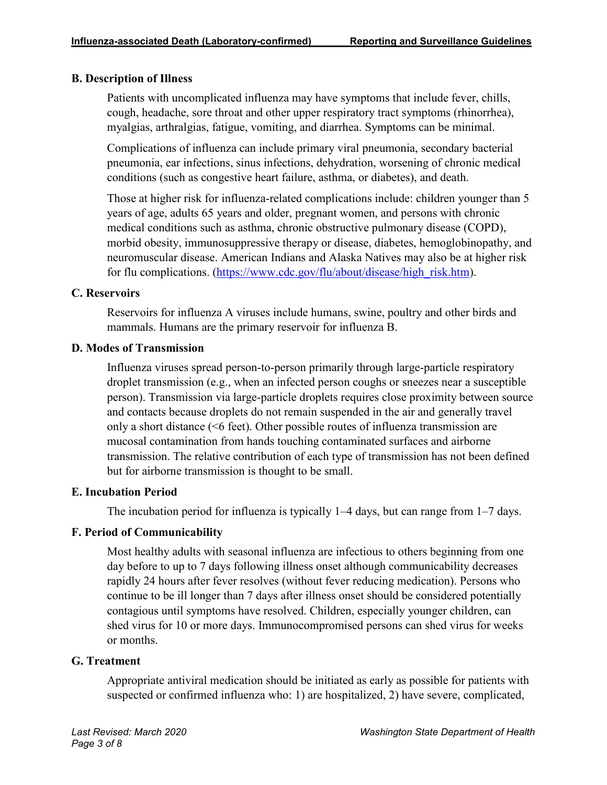#### **B. Description of Illness**

Patients with uncomplicated influenza may have symptoms that include fever, chills, cough, headache, sore throat and other upper respiratory tract symptoms (rhinorrhea), myalgias, arthralgias, fatigue, vomiting, and diarrhea. Symptoms can be minimal.

Complications of influenza can include primary viral pneumonia, secondary bacterial pneumonia, ear infections, sinus infections, dehydration, worsening of chronic medical conditions (such as congestive heart failure, asthma, or diabetes), and death.

Those at higher risk for influenza-related complications include: children younger than 5 years of age, adults 65 years and older, pregnant women, and persons with chronic medical conditions such as asthma, chronic obstructive pulmonary disease (COPD), morbid obesity, immunosuppressive therapy or disease, diabetes, hemoglobinopathy, and neuromuscular disease. American Indians and Alaska Natives may also be at higher risk for flu complications. [\(https://www.cdc.gov/flu/about/disease/high\\_risk.htm\)](https://www.cdc.gov/flu/about/disease/high_risk.htm).

#### **C. Reservoirs**

Reservoirs for influenza A viruses include humans, swine, poultry and other birds and mammals. Humans are the primary reservoir for influenza B.

#### **D. Modes of Transmission**

Influenza viruses spread person-to-person primarily through large-particle respiratory droplet transmission (e.g., when an infected person coughs or sneezes near a susceptible person). Transmission via large-particle droplets requires close proximity between source and contacts because droplets do not remain suspended in the air and generally travel only a short distance (<6 feet). Other possible routes of influenza transmission are mucosal contamination from hands touching contaminated surfaces and airborne transmission. The relative contribution of each type of transmission has not been defined but for airborne transmission is thought to be small.

#### **E. Incubation Period**

The incubation period for influenza is typically 1–4 days, but can range from 1–7 days.

# **F. Period of Communicability**

Most healthy adults with seasonal influenza are infectious to others beginning from one day before to up to 7 days following illness onset although communicability decreases rapidly 24 hours after fever resolves (without fever reducing medication). Persons who continue to be ill longer than 7 days after illness onset should be considered potentially contagious until symptoms have resolved. Children, especially younger children, can shed virus for 10 or more days. Immunocompromised persons can shed virus for weeks or months.

#### **G. Treatment**

Appropriate antiviral medication should be initiated as early as possible for patients with suspected or confirmed influenza who: 1) are hospitalized, 2) have severe, complicated,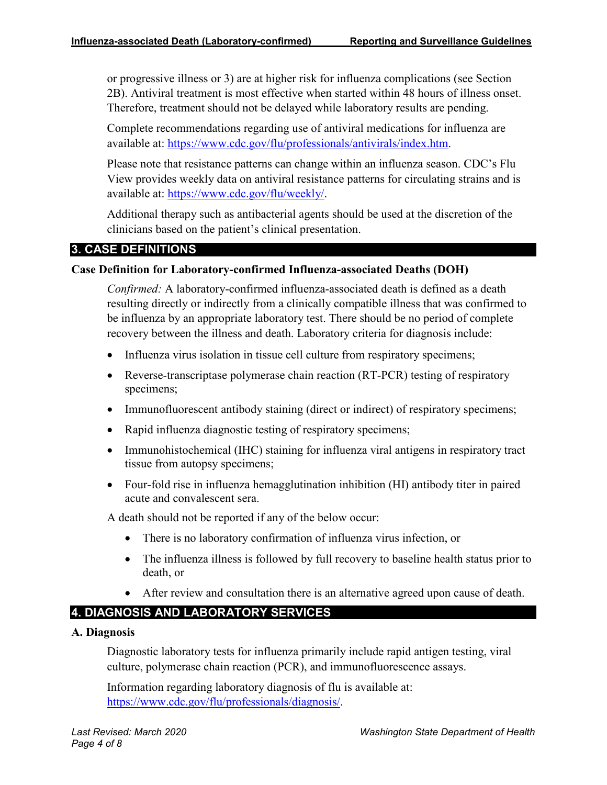or progressive illness or 3) are at higher risk for influenza complications (see Section 2B). Antiviral treatment is most effective when started within 48 hours of illness onset. Therefore, treatment should not be delayed while laboratory results are pending.

Complete recommendations regarding use of antiviral medications for influenza are available at: [https://www.cdc.gov/flu/professionals/antivirals/index.htm.](https://www.cdc.gov/flu/professionals/antivirals/index.htm)

Please note that resistance patterns can change within an influenza season. CDC's Flu View provides weekly data on antiviral resistance patterns for circulating strains and is available at: [https://www.cdc.gov/flu/weekly/.](https://www.cdc.gov/flu/weekly/)

Additional therapy such as antibacterial agents should be used at the discretion of the clinicians based on the patient's clinical presentation.

# **3. CASE DEFINITIONS**

#### **Case Definition for Laboratory-confirmed Influenza-associated Deaths (DOH)**

*Confirmed:* A laboratory-confirmed influenza-associated death is defined as a death resulting directly or indirectly from a clinically compatible illness that was confirmed to be influenza by an appropriate laboratory test. There should be no period of complete recovery between the illness and death. Laboratory criteria for diagnosis include:

- Influenza virus isolation in tissue cell culture from respiratory specimens;
- Reverse-transcriptase polymerase chain reaction (RT-PCR) testing of respiratory specimens;
- Immunofluorescent antibody staining (direct or indirect) of respiratory specimens;
- Rapid influenza diagnostic testing of respiratory specimens;
- Immunohistochemical (IHC) staining for influenza viral antigens in respiratory tract tissue from autopsy specimens;
- Four-fold rise in influenza hemagglutination inhibition (HI) antibody titer in paired acute and convalescent sera.

A death should not be reported if any of the below occur:

- There is no laboratory confirmation of influenza virus infection, or
- The influenza illness is followed by full recovery to baseline health status prior to death, or
- After review and consultation there is an alternative agreed upon cause of death.

# **4. DIAGNOSIS AND LABORATORY SERVICES**

#### **A. Diagnosis**

Diagnostic laboratory tests for influenza primarily include rapid antigen testing, viral culture, polymerase chain reaction (PCR), and immunofluorescence assays.

Information regarding laboratory diagnosis of flu is available at: [https://www.cdc.gov/flu/professionals/diagnosis/.](https://www.cdc.gov/flu/professionals/diagnosis/)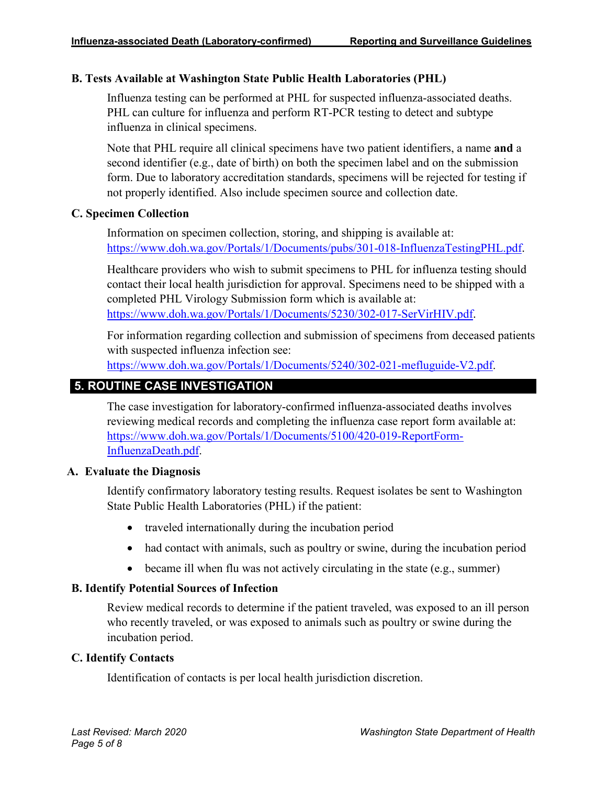#### **B. Tests Available at Washington State Public Health Laboratories (PHL)**

Influenza testing can be performed at PHL for suspected influenza-associated deaths. PHL can culture for influenza and perform RT-PCR testing to detect and subtype influenza in clinical specimens.

Note that PHL require all clinical specimens have two patient identifiers, a name **and** a second identifier (e.g., date of birth) on both the specimen label and on the submission form. Due to laboratory accreditation standards, specimens will be rejected for testing if not properly identified. Also include specimen source and collection date.

#### **C. Specimen Collection**

Information on specimen collection, storing, and shipping is available at: <https://www.doh.wa.gov/Portals/1/Documents/pubs/301-018-InfluenzaTestingPHL.pdf>.

Healthcare providers who wish to submit specimens to PHL for influenza testing should contact their local health jurisdiction for approval. Specimens need to be shipped with a completed PHL Virology Submission form which is available at: <https://www.doh.wa.gov/Portals/1/Documents/5230/302-017-SerVirHIV.pdf>.

For information regarding collection and submission of specimens from deceased patients with suspected influenza infection see:

[https://www.doh.wa.gov/Portals/1/Documents/5240/302-021-mefluguide-V2.pdf.](https://www.doh.wa.gov/Portals/1/Documents/5240/302-021-mefluguide-V2.pdf)

# **5. ROUTINE CASE INVESTIGATION**

The case investigation for laboratory-confirmed influenza-associated deaths involves reviewing medical records and completing the influenza case report form available at: [https://www.doh.wa.gov/Portals/1/Documents/5100/420-019-ReportForm-](https://www.doh.wa.gov/Portals/1/Documents/5100/420-019-ReportForm-InfluenzaDeath.pdf)[InfluenzaDeath.pdf.](https://www.doh.wa.gov/Portals/1/Documents/5100/420-019-ReportForm-InfluenzaDeath.pdf)

#### **A. Evaluate the Diagnosis**

Identify confirmatory laboratory testing results. Request isolates be sent to Washington State Public Health Laboratories (PHL) if the patient:

- traveled internationally during the incubation period
- had contact with animals, such as poultry or swine, during the incubation period
- became ill when flu was not actively circulating in the state (e.g., summer)

#### **B. Identify Potential Sources of Infection**

Review medical records to determine if the patient traveled, was exposed to an ill person who recently traveled, or was exposed to animals such as poultry or swine during the incubation period.

#### **C. Identify Contacts**

Identification of contacts is per local health jurisdiction discretion.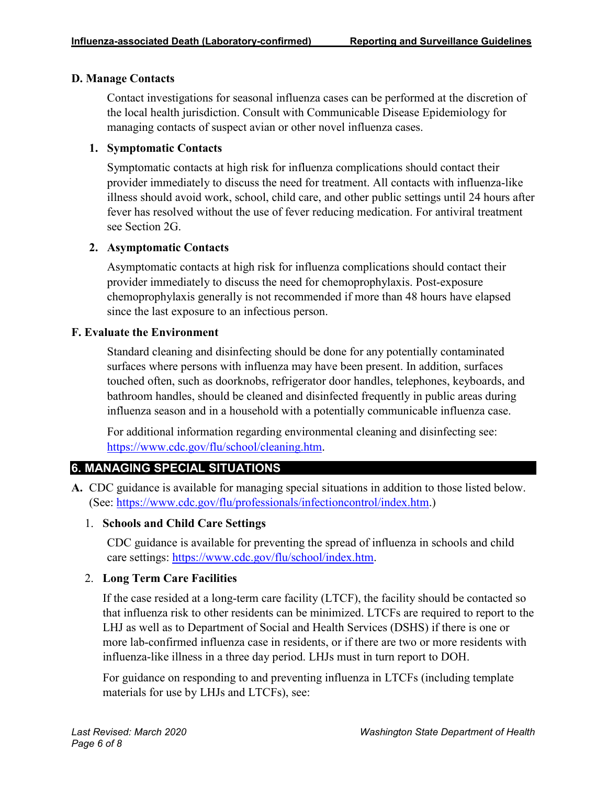#### **D. Manage Contacts**

Contact investigations for seasonal influenza cases can be performed at the discretion of the local health jurisdiction. Consult with Communicable Disease Epidemiology for managing contacts of suspect avian or other novel influenza cases.

### **1. Symptomatic Contacts**

Symptomatic contacts at high risk for influenza complications should contact their provider immediately to discuss the need for treatment. All contacts with influenza-like illness should avoid work, school, child care, and other public settings until 24 hours after fever has resolved without the use of fever reducing medication. For antiviral treatment see Section 2G.

#### **2. Asymptomatic Contacts**

Asymptomatic contacts at high risk for influenza complications should contact their provider immediately to discuss the need for chemoprophylaxis. Post-exposure chemoprophylaxis generally is not recommended if more than 48 hours have elapsed since the last exposure to an infectious person.

#### **F. Evaluate the Environment**

Standard cleaning and disinfecting should be done for any potentially contaminated surfaces where persons with influenza may have been present. In addition, surfaces touched often, such as doorknobs, refrigerator door handles, telephones, keyboards, and bathroom handles, should be cleaned and disinfected frequently in public areas during influenza season and in a household with a potentially communicable influenza case.

For additional information regarding environmental cleaning and disinfecting see: <https://www.cdc.gov/flu/school/cleaning.htm>.

# **6. MANAGING SPECIAL SITUATIONS**

**A.** CDC guidance is available for managing special situations in addition to those listed below. (See: [https://www.cdc.gov/flu/professionals/infectioncontrol/index.htm.](https://www.cdc.gov/flu/professionals/infectioncontrol/index.htm))

# 1. **Schools and Child Care Settings**

CDC guidance is available for preventing the spread of influenza in schools and child care settings: [https://www.cdc.gov/flu/school/index.htm.](https://www.cdc.gov/flu/school/index.htm)

# 2. **Long Term Care Facilities**

If the case resided at a long-term care facility (LTCF), the facility should be contacted so that influenza risk to other residents can be minimized. LTCFs are required to report to the LHJ as well as to Department of Social and Health Services (DSHS) if there is one or more lab-confirmed influenza case in residents, or if there are two or more residents with influenza-like illness in a three day period. LHJs must in turn report to DOH.

For guidance on responding to and preventing influenza in LTCFs (including template materials for use by LHJs and LTCFs), see: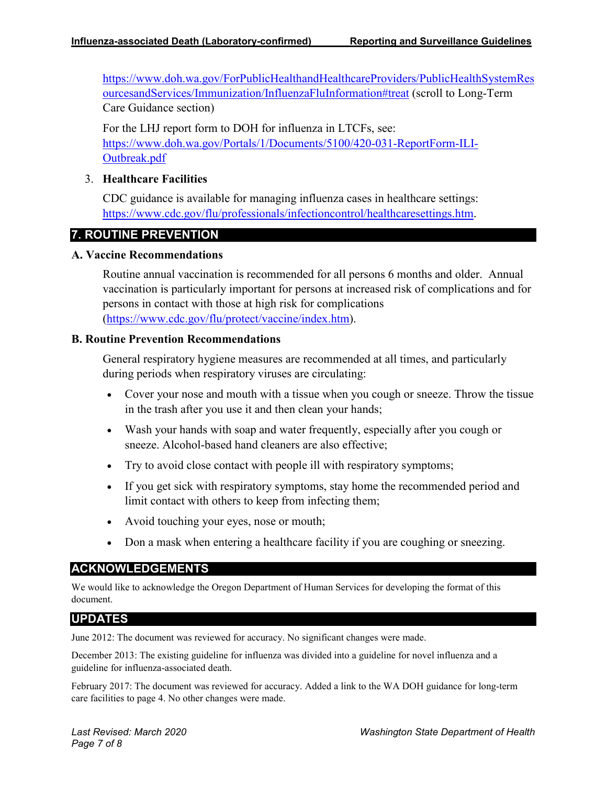[https://www.doh.wa.gov/ForPublicHealthandHealthcareProviders/PublicHealthSystemRes](https://www.doh.wa.gov/ForPublicHealthandHealthcareProviders/PublicHealthSystemResourcesandServices/Immunization/InfluenzaFluInformation#treat) [ourcesandServices/Immunization/InfluenzaFluInformation#treat](https://www.doh.wa.gov/ForPublicHealthandHealthcareProviders/PublicHealthSystemResourcesandServices/Immunization/InfluenzaFluInformation#treat) (scroll to Long-Term Care Guidance section)

For the LHJ report form to DOH for influenza in LTCFs, see: [https://www.doh.wa.gov/Portals/1/Documents/5100/420-031-ReportForm-ILI-](https://www.doh.wa.gov/Portals/1/Documents/5100/420-031-ReportForm-ILI-Outbreak.pdf)[Outbreak.pdf](https://www.doh.wa.gov/Portals/1/Documents/5100/420-031-ReportForm-ILI-Outbreak.pdf)

#### 3. **Healthcare Facilities**

CDC guidance is available for managing influenza cases in healthcare settings: <https://www.cdc.gov/flu/professionals/infectioncontrol/healthcaresettings.htm>.

#### **7. ROUTINE PREVENTION**

#### **A. Vaccine Recommendations**

Routine annual vaccination is recommended for all persons 6 months and older. Annual vaccination is particularly important for persons at increased risk of complications and for persons in contact with those at high risk for complications [\(https://www.cdc.gov/flu/protect/vaccine/index.htm\)](https://www.cdc.gov/flu/protect/vaccine/index.htm).

#### **B. Routine Prevention Recommendations**

General respiratory hygiene measures are recommended at all times, and particularly during periods when respiratory viruses are circulating:

- Cover your nose and mouth with a tissue when you cough or sneeze. Throw the tissue in the trash after you use it and then clean your hands;
- Wash your hands with soap and water frequently, especially after you cough or sneeze. Alcohol-based hand cleaners are also effective;
- Try to avoid close contact with people ill with respiratory symptoms;
- If you get sick with respiratory symptoms, stay home the recommended period and limit contact with others to keep from infecting them;
- Avoid touching your eyes, nose or mouth;
- Don a mask when entering a healthcare facility if you are coughing or sneezing.

#### **ACKNOWLEDGEMENTS**

We would like to acknowledge the Oregon Department of Human Services for developing the format of this document.

#### **UPDATES**

June 2012: The document was reviewed for accuracy. No significant changes were made.

December 2013: The existing guideline for influenza was divided into a guideline for novel influenza and a guideline for influenza-associated death.

February 2017: The document was reviewed for accuracy. Added a link to the WA DOH guidance for long-term care facilities to page 4. No other changes were made.